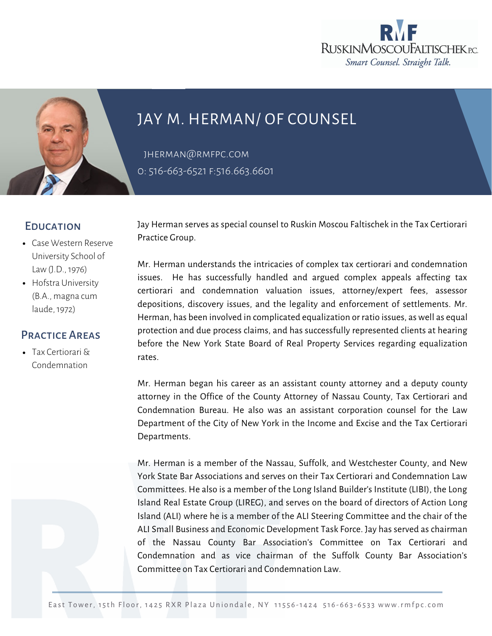



## JAY M. HERMAN/ OF COUNSEL

[jherman@rmfpc.com](mailto:jherman@rmfpc.com) 0: 516-663-6521 F:516.663.6601

## **EDUCATION**

- Case Western Reserve University School of Law (J.D., 1976)
- Hofstra University (B.A., magna cum laude, 1972)

## Practice Areas

Tax Certiorari & [Condemnation](https://rmfpc.com/practice-areas/cybersecurity/)

Jay Herman serves as special counsel to Ruskin Moscou Faltischek in the Tax Certiorari Practice Group.

Mr. Herman understands the intricacies of complex tax certiorari and condemnation issues. He has successfully handled and argued complex appeals affecting tax certiorari and condemnation valuation issues, attorney/expert fees, assessor depositions, discovery issues, and the legality and enforcement of settlements. Mr. Herman, has been involved in complicated equalization or ratio issues, as well as equal protection and due process claims, and has successfully represented clients at hearing before the New York State Board of Real Property Services regarding equalization rates.

Mr. Herman began his career as an assistant county attorney and a deputy county attorney in the Office of the County Attorney of Nassau County, Tax Certiorari and Condemnation Bureau. He also was an assistant corporation counsel for the Law Department of the City of New York in the Income and Excise and the Tax Certiorari Departments.

Mr. Herman is a member of the Nassau, Suffolk, and Westchester County, and New York State Bar Associations and serves on their Tax Certiorari and Condemnation Law Committees. He also is a member of the Long Island Builder's Institute (LIBI), the Long Island Real Estate Group (LIREG), and serves on the board of directors of Action Long Island (ALI) where he is a member of the ALI Steering Committee and the chair of the ALI Small Business and Economic Development Task Force. Jay has served as chairman of the Nassau County Bar Association's Committee on Tax Certiorari and Condemnation and as vice chairman of the Suffolk County Bar Association's Committee on Tax Certiorari and Condemnation Law.